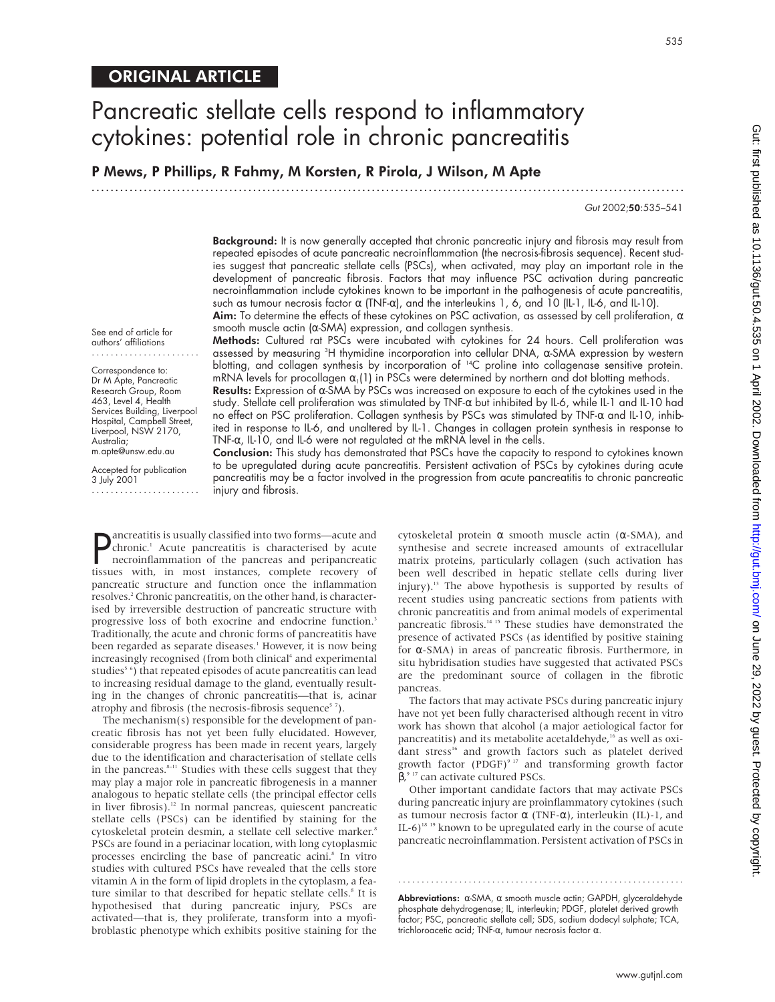# Pancreatic stellate cells respond to inflammatory cytokines: potential role in chronic pancreatitis

P Mews, P Phillips, R Fahmy, M Korsten, R Pirola, J Wilson, M Apte

.............................................................................................................................

Gut 2002;50:535–541

Background: It is now generally accepted that chronic pancreatic injury and fibrosis may result from repeated episodes of acute pancreatic necroinflammation (the necrosis-fibrosis sequence). Recent studies suggest that pancreatic stellate cells (PSCs), when activated, may play an important role in the development of pancreatic fibrosis. Factors that may influence PSC activation during pancreatic necroinflammation include cytokines known to be important in the pathogenesis of acute pancreatitis, such as tumour necrosis factor α (TNF-α), and the interleukins 1, 6, and 10 (IL-1, IL-6, and IL-10).

**Aim:** To determine the effects of these cytokines on PSC activation, as assessed by cell proliferation,  $\alpha$ smooth muscle actin (α-SMA) expression, and collagen synthesis.

See end of article for authors' affiliations .......................

Correspondence to: Dr M Apte, Pancreatic Research Group, Room 463, Level 4, Health Services Building, Liverpool Hospital, Campbell Street, Liverpool, NSW 2170, Australia; m.apte@unsw.edu.au

Accepted for publication 3 July 2001 .......................

Methods: Cultured rat PSCs were incubated with cytokines for 24 hours. Cell proliferation was assessed by measuring <sup>3</sup> H thymidine incorporation into cellular DNA, α-SMA expression by western blotting, and collagen synthesis by incorporation of <sup>14</sup>C proline into collagenase sensitive protein. mRNA levels for procollagen  $\alpha_1(1)$  in PSCs were determined by northern and dot blotting methods. Results: Expression of α-SMA by PSCs was increased on exposure to each of the cytokines used in the

study. Stellate cell proliferation was stimulated by TNF-α but inhibited by IL-6, while IL-1 and IL-10 had no effect on PSC proliferation. Collagen synthesis by PSCs was stimulated by TNF-α and IL-10, inhibited in response to IL-6, and unaltered by IL-1. Changes in collagen protein synthesis in response to TNF-α, IL-10, and IL-6 were not regulated at the mRNA level in the cells.

Conclusion: This study has demonstrated that PSCs have the capacity to respond to cytokines known to be upregulated during acute pancreatitis. Persistent activation of PSCs by cytokines during acute pancreatitis may be a factor involved in the progression from acute pancreatitis to chronic pancreatic injury and fibrosis.

**P** ancreatitis is usually classified into two forms—acute and chronic.<sup>1</sup> Acute pancreatitis is characterised by acute necroinflammation of the pancreas and peripancreatic tissues with, in most instances, complete recover ancreatitis is usually classified into two forms—acute and chronic.<sup>1</sup> Acute pancreatitis is characterised by acute necroinflammation of the pancreas and peripancreatic pancreatic structure and function once the inflammation resolves.<sup>2</sup> Chronic pancreatitis, on the other hand, is characterised by irreversible destruction of pancreatic structure with progressive loss of both exocrine and endocrine function.<sup>3</sup> Traditionally, the acute and chronic forms of pancreatitis have been regarded as separate diseases.<sup>1</sup> However, it is now being increasingly recognised (from both clinical<sup>4</sup> and experimental studies<sup>5</sup><sup>6</sup>) that repeated episodes of acute pancreatitis can lead to increasing residual damage to the gland, eventually resulting in the changes of chronic pancreatitis—that is, acinar atrophy and fibrosis (the necrosis-fibrosis sequence $5$ 7).

The mechanism(s) responsible for the development of pancreatic fibrosis has not yet been fully elucidated. However, considerable progress has been made in recent years, largely due to the identification and characterisation of stellate cells in the pancreas.<sup>8-11</sup> Studies with these cells suggest that they may play a major role in pancreatic fibrogenesis in a manner analogous to hepatic stellate cells (the principal effector cells in liver fibrosis).12 In normal pancreas, quiescent pancreatic stellate cells (PSCs) can be identified by staining for the cytoskeletal protein desmin, a stellate cell selective marker.<sup>8</sup> PSCs are found in a periacinar location, with long cytoplasmic processes encircling the base of pancreatic acini.<sup>8</sup> In vitro studies with cultured PSCs have revealed that the cells store vitamin A in the form of lipid droplets in the cytoplasm, a feature similar to that described for hepatic stellate cells.<sup>8</sup> It is hypothesised that during pancreatic injury, PSCs are activated—that is, they proliferate, transform into a myofibroblastic phenotype which exhibits positive staining for the

cytoskeletal protein α smooth muscle actin (α-SMA), and synthesise and secrete increased amounts of extracellular matrix proteins, particularly collagen (such activation has been well described in hepatic stellate cells during liver injury).13 The above hypothesis is supported by results of recent studies using pancreatic sections from patients with chronic pancreatitis and from animal models of experimental pancreatic fibrosis.<sup>14 15</sup> These studies have demonstrated the presence of activated PSCs (as identified by positive staining for α-SMA) in areas of pancreatic fibrosis. Furthermore, in situ hybridisation studies have suggested that activated PSCs are the predominant source of collagen in the fibrotic pancreas.

The factors that may activate PSCs during pancreatic injury have not yet been fully characterised although recent in vitro work has shown that alcohol (a major aetiological factor for pancreatitis) and its metabolite acetaldehyde,<sup>16</sup> as well as oxidant stress<sup>16</sup> and growth factors such as platelet derived growth factor (PDGF) $917$  and transforming growth factor β, 9 17 can activate cultured PSCs.

Other important candidate factors that may activate PSCs during pancreatic injury are proinflammatory cytokines (such as tumour necrosis factor  $\alpha$  (TNF- $\alpha$ ), interleukin (IL)-1, and IL-6)<sup>18 19</sup> known to be upregulated early in the course of acute pancreatic necroinflammation. Persistent activation of PSCs in

Abbreviations: α-SMA, α smooth muscle actin; GAPDH, glyceraldehyde phosphate dehydrogenase; IL, interleukin; PDGF, platelet derived growth factor; PSC, pancreatic stellate cell; SDS, sodium dodecyl sulphate; TCA, trichloroacetic acid; TNF-α, tumour necrosis factor α.

www.gutjnl.com

.............................................................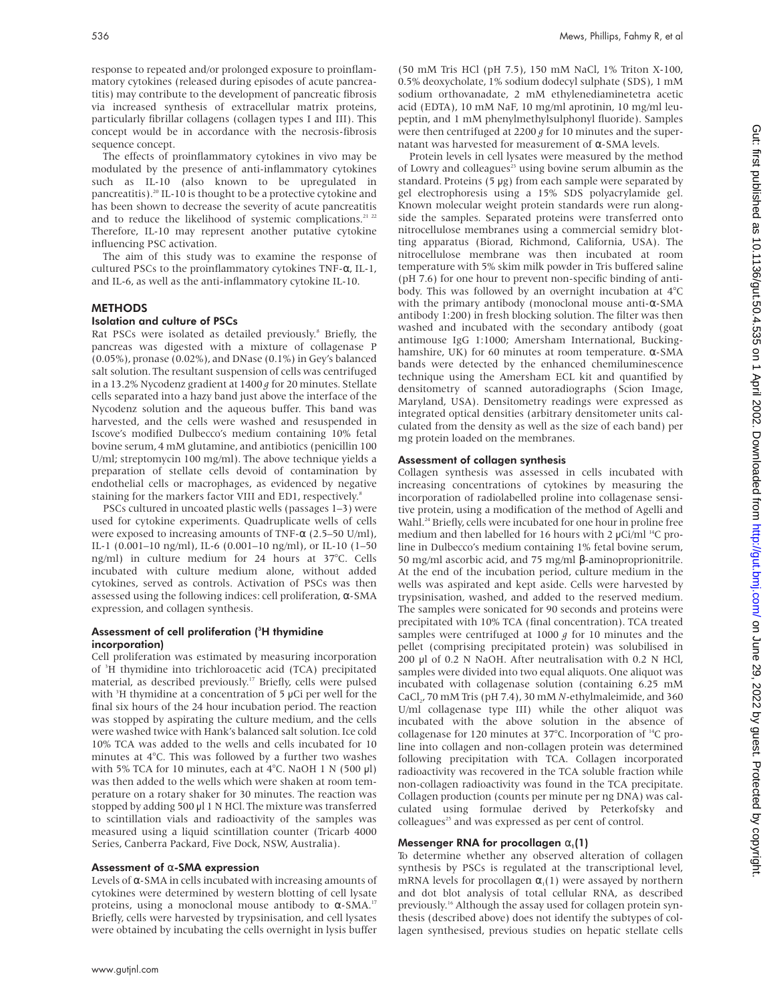response to repeated and/or prolonged exposure to proinflammatory cytokines (released during episodes of acute pancreatitis) may contribute to the development of pancreatic fibrosis via increased synthesis of extracellular matrix proteins, particularly fibrillar collagens (collagen types I and III). This concept would be in accordance with the necrosis-fibrosis sequence concept.

The effects of proinflammatory cytokines in vivo may be modulated by the presence of anti-inflammatory cytokines such as IL-10 (also known to be upregulated in pancreatitis).<sup>20</sup> IL-10 is thought to be a protective cytokine and has been shown to decrease the severity of acute pancreatitis and to reduce the likelihood of systemic complications.<sup>21 22</sup> Therefore, IL-10 may represent another putative cytokine influencing PSC activation.

The aim of this study was to examine the response of cultured PSCs to the proinflammatory cytokines TNF-α, IL-1, and IL-6, as well as the anti-inflammatory cytokine IL-10.

# METHODS

## Isolation and culture of PSCs

Rat PSCs were isolated as detailed previously.<sup>8</sup> Briefly, the pancreas was digested with a mixture of collagenase P (0.05%), pronase (0.02%), and DNase (0.1%) in Gey's balanced salt solution. The resultant suspension of cells was centrifuged in a 13.2% Nycodenz gradient at 1400 *g* for 20 minutes. Stellate cells separated into a hazy band just above the interface of the Nycodenz solution and the aqueous buffer. This band was harvested, and the cells were washed and resuspended in Iscove's modified Dulbecco's medium containing 10% fetal bovine serum, 4 mM glutamine, and antibiotics (penicillin 100 U/ml; streptomycin 100 mg/ml). The above technique yields a preparation of stellate cells devoid of contamination by endothelial cells or macrophages, as evidenced by negative staining for the markers factor VIII and ED1, respectively.<sup>8</sup>

PSCs cultured in uncoated plastic wells (passages 1–3) were used for cytokine experiments. Quadruplicate wells of cells were exposed to increasing amounts of TNF- $\alpha$  (2.5–50 U/ml), IL-1 (0.001–10 ng/ml), IL-6 (0.001–10 ng/ml), or IL-10 (1–50 ng/ml) in culture medium for 24 hours at 37°C. Cells incubated with culture medium alone, without added cytokines, served as controls. Activation of PSCs was then assessed using the following indices: cell proliferation, α-SMA expression, and collagen synthesis.

#### Assessment of cell proliferation (<sup>3</sup>H thymidine incorporation)

Cell proliferation was estimated by measuring incorporation of <sup>3</sup> H thymidine into trichloroacetic acid (TCA) precipitated material, as described previously.17 Briefly, cells were pulsed with <sup>3</sup>H thymidine at a concentration of 5 µCi per well for the final six hours of the 24 hour incubation period. The reaction was stopped by aspirating the culture medium, and the cells were washed twice with Hank's balanced salt solution. Ice cold 10% TCA was added to the wells and cells incubated for 10 minutes at 4°C. This was followed by a further two washes with 5% TCA for 10 minutes, each at 4°C. NaOH 1 N (500 µl) was then added to the wells which were shaken at room temperature on a rotary shaker for 30 minutes. The reaction was stopped by adding 500 µl 1 N HCl. The mixture was transferred to scintillation vials and radioactivity of the samples was measured using a liquid scintillation counter (Tricarb 4000 Series, Canberra Packard, Five Dock, NSW, Australia).

### Assessment of α-SMA expression

Levels of α-SMA in cells incubated with increasing amounts of cytokines were determined by western blotting of cell lysate proteins, using a monoclonal mouse antibody to  $α$ -SMA.<sup>17</sup> Briefly, cells were harvested by trypsinisation, and cell lysates were obtained by incubating the cells overnight in lysis buffer

(50 mM Tris HCl (pH 7.5), 150 mM NaCl, 1% Triton X-100, 0.5% deoxycholate, 1% sodium dodecyl sulphate (SDS), 1 mM sodium orthovanadate, 2 mM ethylenediaminetetra acetic acid (EDTA), 10 mM NaF, 10 mg/ml aprotinin, 10 mg/ml leupeptin, and 1 mM phenylmethylsulphonyl fluoride). Samples were then centrifuged at 2200 *g* for 10 minutes and the supernatant was harvested for measurement of α-SMA levels.

Protein levels in cell lysates were measured by the method of Lowry and colleagues<sup>23</sup> using bovine serum albumin as the standard. Proteins (5 µg) from each sample were separated by gel electrophoresis using a 15% SDS polyacrylamide gel. Known molecular weight protein standards were run alongside the samples. Separated proteins were transferred onto nitrocellulose membranes using a commercial semidry blotting apparatus (Biorad, Richmond, California, USA). The nitrocellulose membrane was then incubated at room temperature with 5% skim milk powder in Tris buffered saline (pH 7.6) for one hour to prevent non-specific binding of antibody. This was followed by an overnight incubation at 4°C with the primary antibody (monoclonal mouse anti-α-SMA antibody 1:200) in fresh blocking solution. The filter was then washed and incubated with the secondary antibody (goat antimouse IgG 1:1000; Amersham International, Buckinghamshire, UK) for 60 minutes at room temperature. α-SMA bands were detected by the enhanced chemiluminescence technique using the Amersham ECL kit and quantified by densitometry of scanned autoradiographs (Scion Image, Maryland, USA). Densitometry readings were expressed as integrated optical densities (arbitrary densitometer units calculated from the density as well as the size of each band) per mg protein loaded on the membranes.

#### Assessment of collagen synthesis

Collagen synthesis was assessed in cells incubated with increasing concentrations of cytokines by measuring the incorporation of radiolabelled proline into collagenase sensitive protein, using a modification of the method of Agelli and Wahl.<sup>24</sup> Briefly, cells were incubated for one hour in proline free medium and then labelled for 16 hours with 2  $\mu$ Ci/ml<sup>14</sup>C proline in Dulbecco's medium containing 1% fetal bovine serum, 50 mg/ml ascorbic acid, and 75 mg/ml β-aminoproprionitrile. At the end of the incubation period, culture medium in the wells was aspirated and kept aside. Cells were harvested by trypsinisation, washed, and added to the reserved medium. The samples were sonicated for 90 seconds and proteins were precipitated with 10% TCA (final concentration). TCA treated samples were centrifuged at 1000 *g* for 10 minutes and the pellet (comprising precipitated protein) was solubilised in 200 µl of 0.2 N NaOH. After neutralisation with 0.2 N HCl, samples were divided into two equal aliquots. One aliquot was incubated with collagenase solution (containing 6.25 mM CaCl<sub>2</sub>, 70 mM Tris (pH 7.4), 30 mM *N*-ethylmaleimide, and 360 U/ml collagenase type III) while the other aliquot was incubated with the above solution in the absence of collagenase for 120 minutes at 37°C. Incorporation of 14C proline into collagen and non-collagen protein was determined following precipitation with TCA. Collagen incorporated radioactivity was recovered in the TCA soluble fraction while non-collagen radioactivity was found in the TCA precipitate. Collagen production (counts per minute per ng DNA) was calculated using formulae derived by Peterkofsky and colleagues<sup>25</sup> and was expressed as per cent of control.

# Messenger RNA for procollagen  $\alpha_1(1)$

To determine whether any observed alteration of collagen synthesis by PSCs is regulated at the transcriptional level, mRNA levels for procollagen  $\alpha_1(1)$  were assayed by northern and dot blot analysis of total cellular RNA, as described previously.<sup>16</sup> Although the assay used for collagen protein synthesis (described above) does not identify the subtypes of collagen synthesised, previous studies on hepatic stellate cells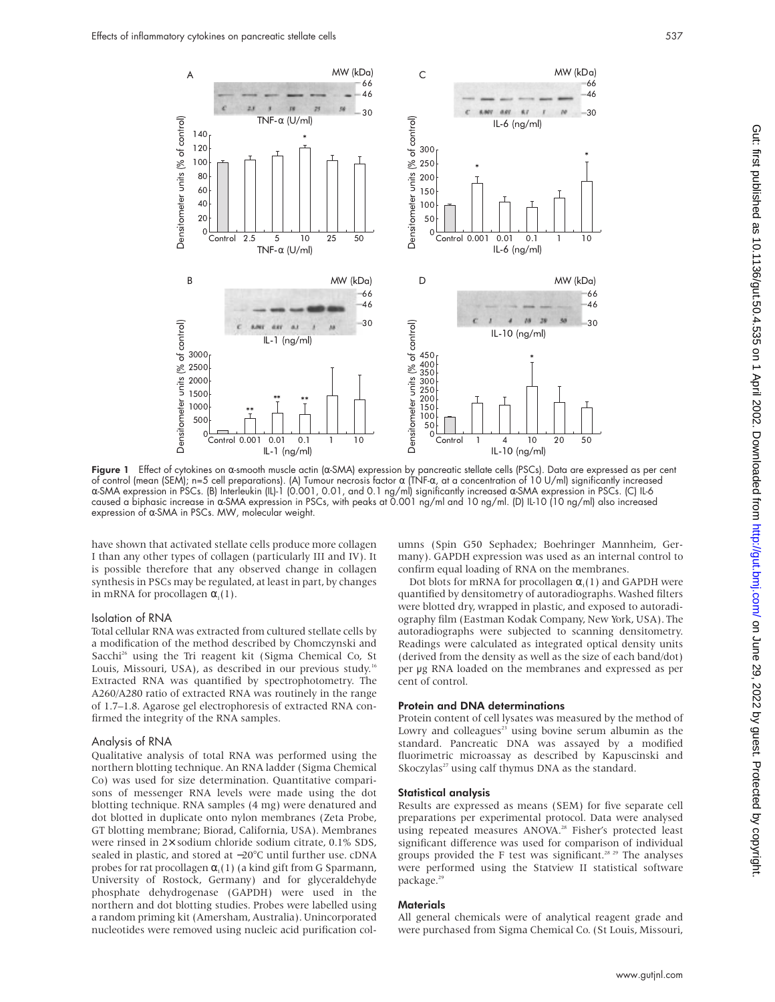

Figure 1 Effect of cytokines on α-smooth muscle actin (α-SMA) expression by pancreatic stellate cells (PSCs). Data are expressed as per cent of control (mean (SEM); n=5 cell preparations). (A) Tumour necrosis factor α (TNF-α, at a concentration of 10 U/ml) significantly increased α-SMA expression in PSCs. (B) Interleukin (IL)-1 (0.001, 0.01, and 0.1 ng/ml) significantly increased α-SMA expression in PSCs. (C) IL-6 caused a biphasic increase in α-SMA expression in PSCs, with peaks at 0.001 ng/ml and 10 ng/ml. (D) IL-10 (10 ng/ml) also increased expression of α-SMA in PSCs. MW, molecular weight.

have shown that activated stellate cells produce more collagen I than any other types of collagen (particularly III and IV). It is possible therefore that any observed change in collagen synthesis in PSCs may be regulated, at least in part, by changes in mRNA for procollagen  $\alpha$ <sub>1</sub>(1).

## Isolation of RNA

Total cellular RNA was extracted from cultured stellate cells by a modification of the method described by Chomczynski and Sacchi<sup>26</sup> using the Tri reagent kit (Sigma Chemical Co, St Louis, Missouri, USA), as described in our previous study.<sup>16</sup> Extracted RNA was quantified by spectrophotometry. The A260/A280 ratio of extracted RNA was routinely in the range of 1.7–1.8. Agarose gel electrophoresis of extracted RNA confirmed the integrity of the RNA samples.

#### Analysis of RNA

Qualitative analysis of total RNA was performed using the northern blotting technique. An RNA ladder (Sigma Chemical Co) was used for size determination. Quantitative comparisons of messenger RNA levels were made using the dot blotting technique. RNA samples (4 mg) were denatured and dot blotted in duplicate onto nylon membranes (Zeta Probe, GT blotting membrane; Biorad, California, USA). Membranes were rinsed in 2× sodium chloride sodium citrate, 0.1% SDS, sealed in plastic, and stored at −20°C until further use. cDNA probes for rat procollagen  $\alpha_1(1)$  (a kind gift from G Sparmann, University of Rostock, Germany) and for glyceraldehyde phosphate dehydrogenase (GAPDH) were used in the northern and dot blotting studies. Probes were labelled using a random priming kit (Amersham, Australia). Unincorporated nucleotides were removed using nucleic acid purification columns (Spin G50 Sephadex; Boehringer Mannheim, Germany). GAPDH expression was used as an internal control to confirm equal loading of RNA on the membranes.

Dot blots for mRNA for procollagen  $\alpha_1(1)$  and GAPDH were quantified by densitometry of autoradiographs. Washed filters were blotted dry, wrapped in plastic, and exposed to autoradiography film (Eastman Kodak Company, New York, USA). The autoradiographs were subjected to scanning densitometry. Readings were calculated as integrated optical density units (derived from the density as well as the size of each band/dot) per µg RNA loaded on the membranes and expressed as per cent of control.

## Protein and DNA determinations

Protein content of cell lysates was measured by the method of Lowry and colleagues $^{23}$  using bovine serum albumin as the standard. Pancreatic DNA was assayed by a modified fluorimetric microassay as described by Kapuscinski and Skoczylas<sup>27</sup> using calf thymus DNA as the standard.

#### Statistical analysis

Results are expressed as means (SEM) for five separate cell preparations per experimental protocol. Data were analysed using repeated measures ANOVA.<sup>28</sup> Fisher's protected least significant difference was used for comparison of individual groups provided the F test was significant.<sup>28 29</sup> The analyses were performed using the Statview II statistical software package.<sup>29</sup>

# **Materials**

All general chemicals were of analytical reagent grade and were purchased from Sigma Chemical Co. (St Louis, Missouri,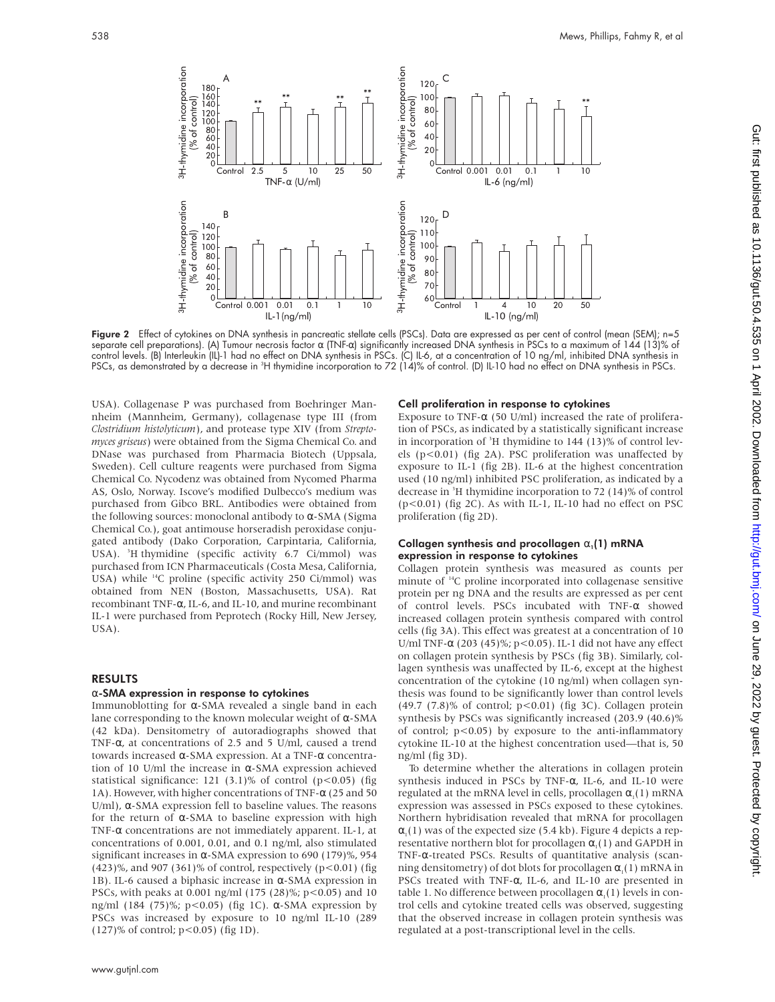TNF-α (U/ml) B IL-1(ng/ml) 140 120 100 80 60 40  $\overline{2}$ 0 Control 0.001 0.01 0.1 1 10<br>  $\frac{1}{2}$ <br>  $\frac{1}{2}$ <br>  $\frac{1}{2}$ <br>  $\frac{1}{2}$ <br>  $\frac{1}{2}$ <br>  $\frac{1}{2}$ <br>  $\frac{1}{2}$ <br>  $\frac{1}{2}$ <br>  $\frac{1}{2}$ <br>  $\frac{1}{2}$ <br>  $\frac{1}{2}$ <br>  $\frac{1}{2}$ <br>  $\frac{1}{2}$ <br>  $\frac{1}{2}$ <br>  $\frac{1}{2}$ <br>  $\frac{1}{2}$ <br>  $\frac{1}{2}$ <br>  $\frac{1$ IL-6 (ng/ml) D IL-10 (ng/ml) 120 100 110 80 90 70 60  $\begin{bmatrix} 1 & 1 & 20 \\ 20 & 1 & 10 \\ 20 & 2 & 10 \\ 20 & 3 & 10 \\ 20 & 3 & 80 \\ 20 & 80 & 1 \\ 20 & 60 & 1 \end{bmatrix}$ 

**Figure 2** Effect of cytokines on DNA synthesis in pancreatic stellate cells (PSCs). Data are expressed as per cent of control (mean (SEM); n=5 separate cell preparations). (A) Tumour necrosis factor α (TNF-α) significantly increased DNA synthesis in PSCs to a maximum of 144 (13)% of control levels. (B) Interleukin (IL)-1 had no effect on DNA synthesis in PSCs. (C) IL-6, at a concentration of 10 ng/ml, inhibited DNA synthesis in PSCs, as demonstrated by a decrease in <sup>3</sup>H thymidine incorporation to 72 (14)% of control. (D) IL-10 had no effect on DNA synthesis in PSCs.

USA). Collagenase P was purchased from Boehringer Mannheim (Mannheim, Germany), collagenase type III (from *Clostridium histolyticum*), and protease type XIV (from *Streptomyces griseus*) were obtained from the Sigma Chemical Co. and DNase was purchased from Pharmacia Biotech (Uppsala, Sweden). Cell culture reagents were purchased from Sigma Chemical Co. Nycodenz was obtained from Nycomed Pharma AS, Oslo, Norway. Iscove's modified Dulbecco's medium was purchased from Gibco BRL. Antibodies were obtained from the following sources: monoclonal antibody to  $α$ -SMA (Sigma Chemical Co.), goat antimouse horseradish peroxidase conjugated antibody (Dako Corporation, Carpintaria, California, USA). <sup>3</sup>H thymidine (specific activity 6.7 Ci/mmol) was purchased from ICN Pharmaceuticals (Costa Mesa, California, USA) while 14C proline (specific activity 250 Ci/mmol) was obtained from NEN (Boston, Massachusetts, USA). Rat recombinant TNF-α, IL-6, and IL-10, and murine recombinant IL-1 were purchased from Peprotech (Rocky Hill, New Jersey, USA).

### RESULTS

#### α-SMA expression in response to cytokines

Immunoblotting for α-SMA revealed a single band in each lane corresponding to the known molecular weight of  $\alpha$ -SMA (42 kDa). Densitometry of autoradiographs showed that TNF-α, at concentrations of 2.5 and 5 U/ml, caused a trend towards increased α-SMA expression. At a TNF-α concentration of 10 U/ml the increase in α-SMA expression achieved statistical significance:  $121$  (3.1)% of control (p<0.05) (fig 1A). However, with higher concentrations of TNF- $\alpha$  (25 and 50 U/ml), α-SMA expression fell to baseline values. The reasons for the return of α-SMA to baseline expression with high TNF-α concentrations are not immediately apparent. IL-1, at concentrations of 0.001, 0.01, and 0.1 ng/ml, also stimulated significant increases in  $\alpha$ -SMA expression to 690 (179)%, 954  $(423)$ %, and 907 (361)% of control, respectively (p<0.01) (fig 1B). IL-6 caused a biphasic increase in  $α$ -SMA expression in PSCs, with peaks at 0.001 ng/ml (175 (28)%; p<0.05) and 10 ng/ml (184 (75)%; p<0.05) (fig 1C). α-SMA expression by PSCs was increased by exposure to 10 ng/ml IL-10 (289 (127)% of control; p<0.05) (fig 1D).

#### Cell proliferation in response to cytokines

Exposure to TNF- $\alpha$  (50 U/ml) increased the rate of proliferation of PSCs, as indicated by a statistically significant increase in incorporation of <sup>3</sup>H thymidine to 144 (13)% of control levels (p<0.01) (fig 2A). PSC proliferation was unaffected by exposure to IL-1 (fig 2B). IL-6 at the highest concentration used (10 ng/ml) inhibited PSC proliferation, as indicated by a decrease in <sup>3</sup> H thymidine incorporation to 72 (14)% of control (p<0.01) (fig 2C). As with IL-1, IL-10 had no effect on PSC proliferation (fig 2D).

#### Collagen synthesis and procollagen  $\alpha_1(1)$  mRNA expression in response to cytokines

Collagen protein synthesis was measured as counts per minute of <sup>14</sup>C proline incorporated into collagenase sensitive protein per ng DNA and the results are expressed as per cent of control levels. PSCs incubated with TNF-α showed increased collagen protein synthesis compared with control cells (fig 3A). This effect was greatest at a concentration of 10 U/ml TNF- $\alpha$  (203 (45)%; p<0.05). IL-1 did not have any effect on collagen protein synthesis by PSCs (fig 3B). Similarly, collagen synthesis was unaffected by IL-6, except at the highest concentration of the cytokine (10 ng/ml) when collagen synthesis was found to be significantly lower than control levels  $(49.7 \ (7.8)\%$  of control;  $p<0.01$ ) (fig 3C). Collagen protein synthesis by PSCs was significantly increased (203.9 (40.6)% of control; p<0.05) by exposure to the anti-inflammatory cytokine IL-10 at the highest concentration used—that is, 50 ng/ml (fig 3D).

To determine whether the alterations in collagen protein synthesis induced in PSCs by TNF-α, IL-6, and IL-10 were regulated at the mRNA level in cells, procollagen  $\alpha_1(1)$  mRNA expression was assessed in PSCs exposed to these cytokines. Northern hybridisation revealed that mRNA for procollagen  $\alpha_1(1)$  was of the expected size (5.4 kb). Figure 4 depicts a representative northern blot for procollagen  $\alpha_1(1)$  and GAPDH in TNF-α-treated PSCs. Results of quantitative analysis (scanning densitometry) of dot blots for procollagen  $\alpha_1(1)$  mRNA in PSCs treated with TNF-α, IL-6, and IL-10 are presented in table 1. No difference between procollagen  $\alpha_1(1)$  levels in control cells and cytokine treated cells was observed, suggesting that the observed increase in collagen protein synthesis was regulated at a post-transcriptional level in the cells.

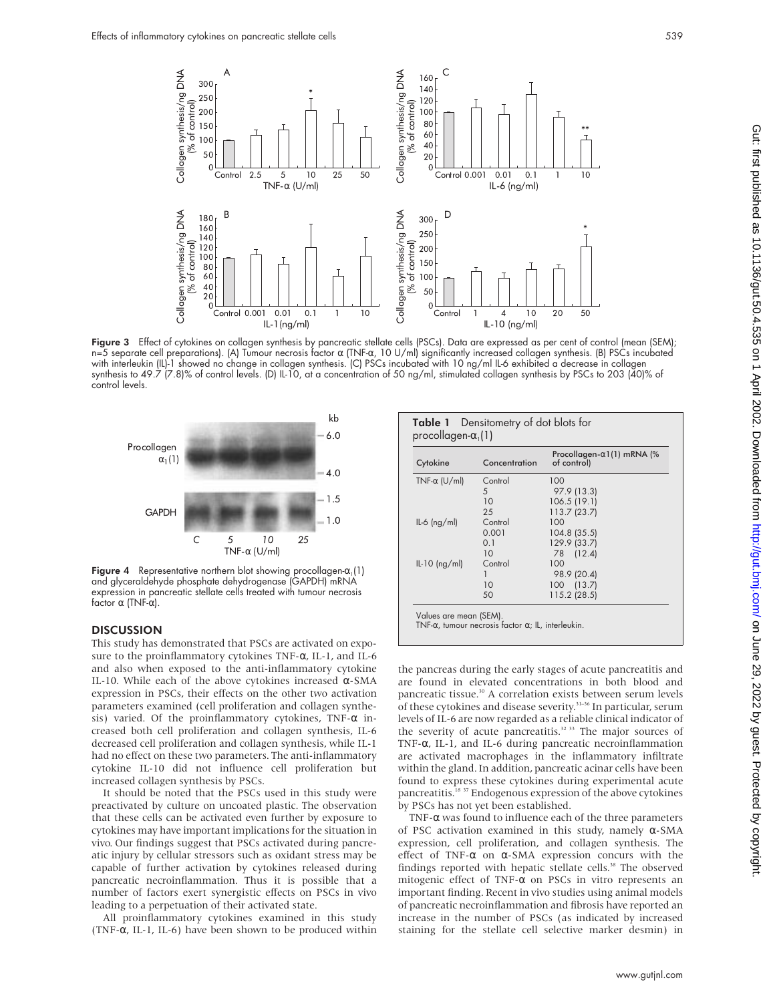

Figure 3 Effect of cytokines on collagen synthesis by pancreatic stellate cells (PSCs). Data are expressed as per cent of control (mean (SEM); n=5 separate cell preparations). (A) Tumour necrosis factor α (TNF-α, 10 U/ml) significantly increased collagen synthesis. (B) PSCs incubated with interleukin (IL)-1 showed no change in collagen synthesis. (C) PSCs incubated with 10 ng/ml IL-6 exhibited a decrease in collagen synthesis to 49.7 (7.8)% of control levels. (D) IL-10, at a concentration of 50 ng/ml, stimulated collagen synthesis by PSCs to 203 (40)% of control levels.



Figure 4 Representative northern blot showing procollagen- $\alpha_1(1)$ and glyceraldehyde phosphate dehydrogenase (GAPDH) mRNA expression in pancreatic stellate cells treated with tumour necrosis factor α (TNF-α).

## **DISCUSSION**

This study has demonstrated that PSCs are activated on exposure to the proinflammatory cytokines TNF-α, IL-1, and IL-6 and also when exposed to the anti-inflammatory cytokine IL-10. While each of the above cytokines increased α-SMA expression in PSCs, their effects on the other two activation parameters examined (cell proliferation and collagen synthesis) varied. Of the proinflammatory cytokines, TNF- $\alpha$  increased both cell proliferation and collagen synthesis, IL-6 decreased cell proliferation and collagen synthesis, while IL-1 had no effect on these two parameters. The anti-inflammatory cytokine IL-10 did not influence cell proliferation but increased collagen synthesis by PSCs.

It should be noted that the PSCs used in this study were preactivated by culture on uncoated plastic. The observation that these cells can be activated even further by exposure to cytokines may have important implications for the situation in vivo. Our findings suggest that PSCs activated during pancreatic injury by cellular stressors such as oxidant stress may be capable of further activation by cytokines released during pancreatic necroinflammation. Thus it is possible that a number of factors exert synergistic effects on PSCs in vivo leading to a perpetuation of their activated state.

All proinflammatory cytokines examined in this study (TNF- $\alpha$ , IL-1, IL-6) have been shown to be produced within

| Cytokine |                      | Concentration | Procollagen- $\alpha$ 1(1) mRNA (%<br>of control) |
|----------|----------------------|---------------|---------------------------------------------------|
|          | TNF- $\alpha$ (U/ml) | Control       | 100                                               |
|          |                      | 5             | 97.9 (13.3)                                       |
|          |                      | 10            | 106.5(19.1)                                       |
|          |                      | 25            | 113.7(23.7)                                       |
|          | $IL-6$ (ng/ml)       | Control       | 100                                               |
|          |                      | 0.001         | $104.8$ (35.5)                                    |
|          |                      | 0.1           | 129.9 (33.7)                                      |
|          |                      | 10            | 78 (12.4)                                         |
|          | $IL-10$ (ng/ml)      | Control       | 100                                               |
|          |                      |               | 98.9 (20.4)                                       |
|          |                      | 10            | 100 (13.7)                                        |
|          |                      | 50            | 115.2 (28.5)                                      |

the pancreas during the early stages of acute pancreatitis and are found in elevated concentrations in both blood and pancreatic tissue.<sup>30</sup> A correlation exists between serum levels of these cytokines and disease severity.<sup>31-36</sup> In particular, serum levels of IL-6 are now regarded as a reliable clinical indicator of the severity of acute pancreatitis.<sup>32</sup> 33 The major sources of TNF-α, IL-1, and IL-6 during pancreatic necroinflammation are activated macrophages in the inflammatory infiltrate within the gland. In addition, pancreatic acinar cells have been found to express these cytokines during experimental acute pancreatitis.<sup>18</sup> <sup>37</sup> Endogenous expression of the above cytokines by PSCs has not yet been established.

TNF- $\alpha$  was found to influence each of the three parameters of PSC activation examined in this study, namely α-SMA expression, cell proliferation, and collagen synthesis. The effect of TNF- $\alpha$  on  $\alpha$ -SMA expression concurs with the findings reported with hepatic stellate cells.<sup>38</sup> The observed mitogenic effect of TNF-α on PSCs in vitro represents an important finding. Recent in vivo studies using animal models of pancreatic necroinflammation and fibrosis have reported an increase in the number of PSCs (as indicated by increased staining for the stellate cell selective marker desmin) in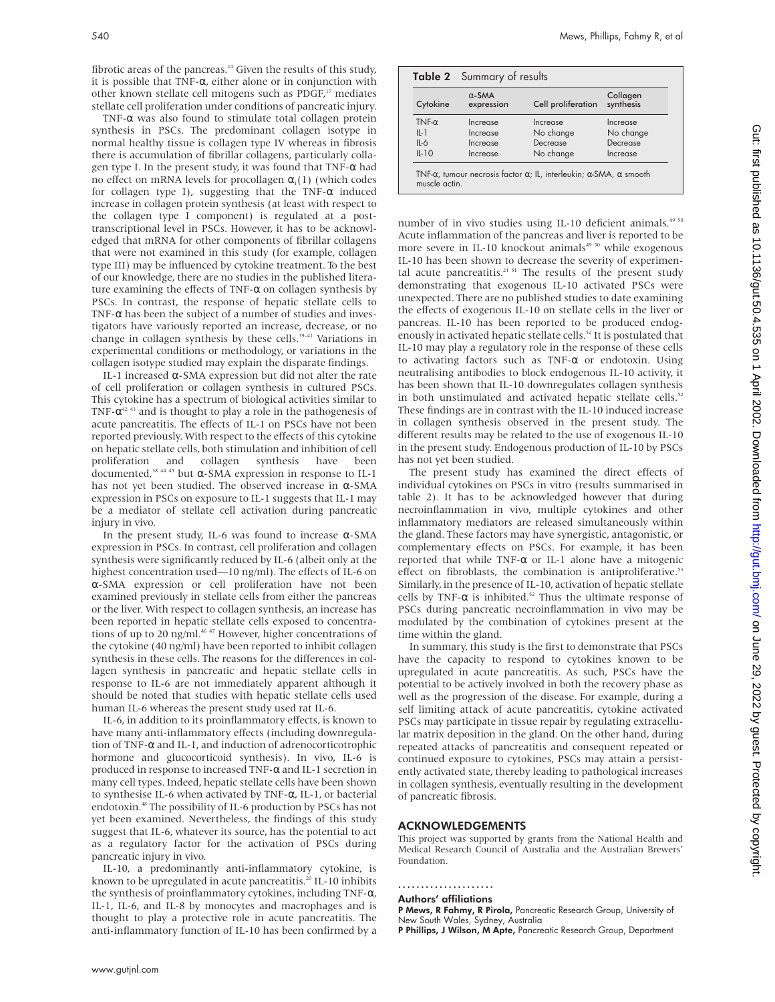fibrotic areas of the pancreas.<sup>14</sup> Given the results of this study, it is possible that TNF- $\alpha$ , either alone or in conjunction with other known stellate cell mitogens such as PDGF,<sup>17</sup> mediates stellate cell proliferation under conditions of pancreatic injury.

TNF-α was also found to stimulate total collagen protein synthesis in PSCs. The predominant collagen isotype in normal healthy tissue is collagen type IV whereas in fibrosis there is accumulation of fibrillar collagens, particularly collagen type I. In the present study, it was found that TNF-α had no effect on mRNA levels for procollagen  $\alpha_1(1)$  (which codes for collagen type I), suggesting that the TNF-α induced increase in collagen protein synthesis (at least with respect to the collagen type I component) is regulated at a posttranscriptional level in PSCs. However, it has to be acknowledged that mRNA for other components of fibrillar collagens that were not examined in this study (for example, collagen type III) may be influenced by cytokine treatment. To the best of our knowledge, there are no studies in the published literature examining the effects of TNF-α on collagen synthesis by PSCs. In contrast, the response of hepatic stellate cells to TNF- $\alpha$  has been the subject of a number of studies and investigators have variously reported an increase, decrease, or no change in collagen synthesis by these cells.<sup>39-41</sup> Variations in experimental conditions or methodology, or variations in the collagen isotype studied may explain the disparate findings.

IL-1 increased α-SMA expression but did not alter the rate of cell proliferation or collagen synthesis in cultured PSCs. This cytokine has a spectrum of biological activities similar to TNF- $\alpha^{42\;43}$  and is thought to play a role in the pathogenesis of acute pancreatitis. The effects of IL-1 on PSCs have not been reported previously. With respect to the effects of this cytokine on hepatic stellate cells, both stimulation and inhibition of cell proliferation and collagen synthesis have been  $\overline{1}$  documented,<sup>38 44 45</sup> but α-SMA expression in response to IL-1 has not yet been studied. The observed increase in  $α$ -SMA expression in PSCs on exposure to IL-1 suggests that IL-1 may be a mediator of stellate cell activation during pancreatic injury in vivo.

In the present study, IL-6 was found to increase α-SMA expression in PSCs. In contrast, cell proliferation and collagen synthesis were significantly reduced by IL-6 (albeit only at the highest concentration used—10 ng/ml). The effects of IL-6 on α-SMA expression or cell proliferation have not been examined previously in stellate cells from either the pancreas or the liver. With respect to collagen synthesis, an increase has been reported in hepatic stellate cells exposed to concentrations of up to 20 ng/ml.<sup>46,47</sup> However, higher concentrations of the cytokine (40 ng/ml) have been reported to inhibit collagen synthesis in these cells. The reasons for the differences in collagen synthesis in pancreatic and hepatic stellate cells in response to IL-6 are not immediately apparent although it should be noted that studies with hepatic stellate cells used human IL-6 whereas the present study used rat IL-6.

IL-6, in addition to its proinflammatory effects, is known to have many anti-inflammatory effects (including downregulation of TNF-α and IL-1, and induction of adrenocorticotrophic hormone and glucocorticoid synthesis). In vivo, IL-6 is produced in response to increased TNF-α and IL-1 secretion in many cell types. Indeed, hepatic stellate cells have been shown to synthesise IL-6 when activated by TNF-α, IL-1, or bacterial endotoxin.48 The possibility of IL-6 production by PSCs has not yet been examined. Nevertheless, the findings of this study suggest that IL-6, whatever its source, has the potential to act as a regulatory factor for the activation of PSCs during pancreatic injury in vivo.

IL-10, a predominantly anti-inflammatory cytokine, is known to be upregulated in acute pancreatitis.<sup>20</sup> IL-10 inhibits the synthesis of proinflammatory cytokines, including TNF- $\alpha$ , IL-1, IL-6, and IL-8 by monocytes and macrophages and is thought to play a protective role in acute pancreatitis. The anti-inflammatory function of IL-10 has been confirmed by a

|               | Table 2 Summary of results  |                    |                       |  |  |
|---------------|-----------------------------|--------------------|-----------------------|--|--|
| Cytokine      | $\alpha$ -SMA<br>expression | Cell proliferation | Collagen<br>synthesis |  |  |
| TNF- $\alpha$ | Increase                    | Increase           | Increase              |  |  |
| $II - I$      | Increase                    | No change          | No change             |  |  |
| $IL-6$        | Increase                    | Decrease           | Decrease              |  |  |
| $IL-1O$       | Increase                    | No change          | Increase              |  |  |

number of in vivo studies using IL-10 deficient animals.<sup>49 50</sup> Acute inflammation of the pancreas and liver is reported to be more severe in IL-10 knockout animals<sup>49 50</sup> while exogenous IL-10 has been shown to decrease the severity of experimental acute pancreatitis.<sup>21 51</sup> The results of the present study demonstrating that exogenous IL-10 activated PSCs were unexpected. There are no published studies to date examining the effects of exogenous IL-10 on stellate cells in the liver or pancreas. IL-10 has been reported to be produced endogenously in activated hepatic stellate cells.<sup>52</sup> It is postulated that IL-10 may play a regulatory role in the response of these cells to activating factors such as TNF-α or endotoxin. Using neutralising antibodies to block endogenous IL-10 activity, it has been shown that IL-10 downregulates collagen synthesis in both unstimulated and activated hepatic stellate cells.<sup>52</sup> These findings are in contrast with the IL-10 induced increase in collagen synthesis observed in the present study. The different results may be related to the use of exogenous IL-10 in the present study. Endogenous production of IL-10 by PSCs has not yet been studied.

The present study has examined the direct effects of individual cytokines on PSCs in vitro (results summarised in table 2). It has to be acknowledged however that during necroinflammation in vivo, multiple cytokines and other inflammatory mediators are released simultaneously within the gland. These factors may have synergistic, antagonistic, or complementary effects on PSCs. For example, it has been reported that while TNF-α or IL-1 alone have a mitogenic effect on fibroblasts, the combination is antiproliferative.<sup>53</sup> Similarly, in the presence of IL-10, activation of hepatic stellate cells by TNF- $\alpha$  is inhibited.<sup>52</sup> Thus the ultimate response of PSCs during pancreatic necroinflammation in vivo may be modulated by the combination of cytokines present at the time within the gland.

In summary, this study is the first to demonstrate that PSCs have the capacity to respond to cytokines known to be upregulated in acute pancreatitis. As such, PSCs have the potential to be actively involved in both the recovery phase as well as the progression of the disease. For example, during a self limiting attack of acute pancreatitis, cytokine activated PSCs may participate in tissue repair by regulating extracellular matrix deposition in the gland. On the other hand, during repeated attacks of pancreatitis and consequent repeated or continued exposure to cytokines, PSCs may attain a persistently activated state, thereby leading to pathological increases in collagen synthesis, eventually resulting in the development of pancreatic fibrosis.

## ACKNOWLEDGEMENTS

This project was supported by grants from the National Health and Medical Research Council of Australia and the Australian Brewers' Foundation.

#### .....................

## Authors' affiliations

P Mews, R Fahmy, R Pirola, Pancreatic Research Group, University of New South Wales, Sydney, Australia

P Phillips, J Wilson, M Apte, Pancreatic Research Group, Department